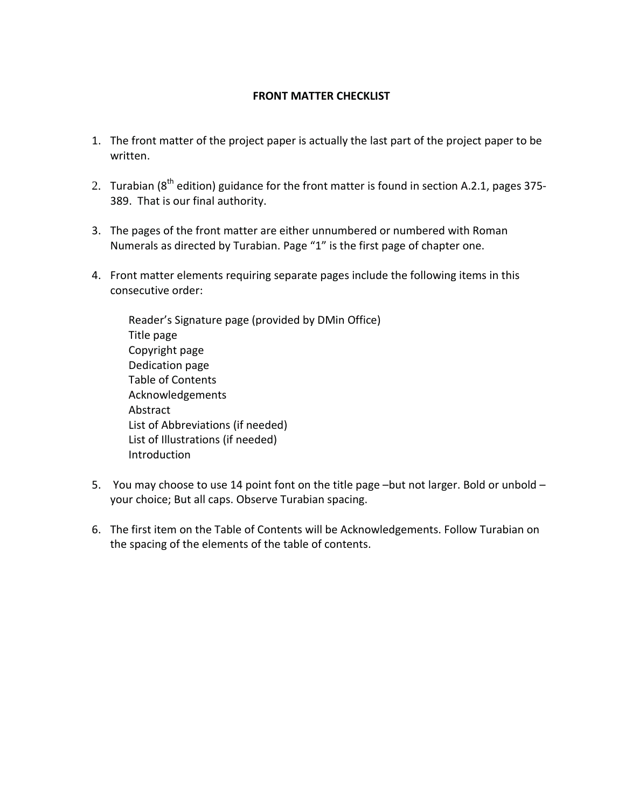#### **FRONT MATTER CHECKLIST**

- 1. The front matter of the project paper is actually the last part of the project paper to be written.
- 2. Turabian ( $8<sup>th</sup>$  edition) guidance for the front matter is found in section A.2.1, pages 375-389. That is our final authority.
- 3. The pages of the front matter are either unnumbered or numbered with Roman Numerals as directed by Turabian. Page "1" is the first page of chapter one.
- 4. Front matter elements requiring separate pages include the following items in this consecutive order:

 Reader's Signature page (provided by DMin Office) Title page Copyright page Dedication page Table of Contents Acknowledgements Abstract List of Abbreviations (if needed) List of Illustrations (if needed) Introduction

- 5. You may choose to use 14 point font on the title page -but not larger. Bold or unbold your choice; But all caps. Observe Turabian spacing.
- 6. The first item on the Table of Contents will be Acknowledgements. Follow Turabian on the spacing of the elements of the table of contents.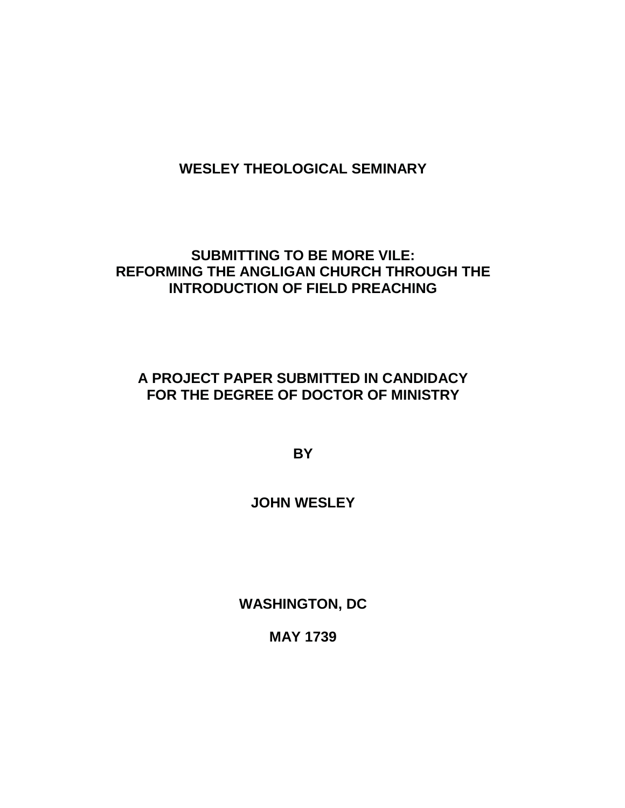# **WESLEY THEOLOGICAL SEMINARY**

## **SUBMITTING TO BE MORE VILE: REFORMING THE ANGLIGAN CHURCH THROUGH THE INTRODUCTION OF FIELD PREACHING**

## **A PROJECT PAPER SUBMITTED IN CANDIDACY FOR THE DEGREE OF DOCTOR OF MINISTRY**

**BY** 

# **JOHN WESLEY**

**WASHINGTON, DC**

**MAY 1739**